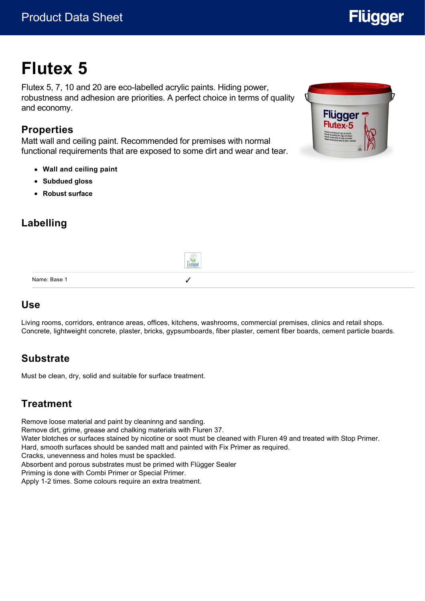# **Flutex 5**

Flutex 5, 7, 10 and 20 are eco-labelled acrylic paints. Hiding power, robustness and adhesion are priorities. A perfect choice in terms of quality and economy.

#### **Properties**

Matt wall and ceiling paint. Recommended for premises with normal functional requirements that are exposed to some dirt and wear and tear.

- **Wall and ceiling paint**
- **Subdued gloss**
- **Robust surface**

# **Labelling**



|              | $\mathcal{L}_{\text{max}}^{(1)}$<br>$\cdot$ $\cdot$<br>$\frac{1}{\sqrt{2}}$<br>Fcolapel |
|--------------|-----------------------------------------------------------------------------------------|
| Name: Base 1 |                                                                                         |

#### **Use**

Living rooms, corridors, entrance areas, offices, kitchens, washrooms, commercial premises, clinics and retail shops. Concrete, lightweight concrete, plaster, bricks, gypsumboards, fiber plaster, cement fiber boards, cement particle boards.

## **Substrate**

Must be clean, dry, solid and suitable for surface treatment.

# **Treatment**

Remove loose material and paint by cleaninng and sanding. Remove dirt, grime, grease and chalking materials with Fluren 37. Water blotches or surfaces stained by nicotine or soot must be cleaned with Fluren 49 and treated with Stop Primer. Hard, smooth surfaces should be sanded matt and painted with Fix Primer as required. Cracks, unevenness and holes must be spackled. Absorbent and porous substrates must be primed with Flügger Sealer Priming is done with Combi Primer or Special Primer. Apply 1-2 times. Some colours require an extra treatment.

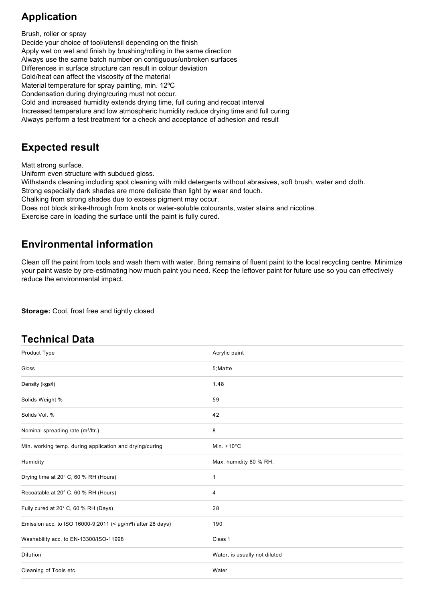# **Application**

Brush, roller or spray Decide your choice of tool/utensil depending on the finish Apply wet on wet and finish by brushing/rolling in the same direction Always use the same batch number on contiguous/unbroken surfaces Differences in surface structure can result in colour deviation Cold/heat can affect the viscosity of the material Material temperature for spray painting, min. 12°C Condensation during drying/curing must not occur. Cold and increased humidity extends drying time, full curing and recoat interval Increased temperature and low atmospheric humidity reduce drying time and full curing Always perform a test treatment for a check and acceptance of adhesion and result

### **Expected result**

Matt strong surface.

Uniform even structure with subdued gloss.

Withstands cleaning including spot cleaning with mild detergents without abrasives, soft brush, water and cloth. Strong especially dark shades are more delicate than light by wear and touch.

Chalking from strong shades due to excess pigment may occur.

Does not block strike-through from knots or water-soluble colourants, water stains and nicotine.

Exercise care in loading the surface until the paint is fully cured.

# **Environmental information**

Clean off the paint from tools and wash them with water. Bring remains of fluent paint to the local recycling centre. Minimize your paint waste by pre-estimating how much paint you need. Keep the leftover paint for future use so you can effectively reduce the environmental impact.

**Storage:** Cool, frost free and tightly closed

## **Technical Data**

| Product Type                                                                 | Acrylic paint                 |
|------------------------------------------------------------------------------|-------------------------------|
| Gloss                                                                        | 5; Matte                      |
| Density (kgs/l)                                                              | 1.48                          |
| Solids Weight %                                                              | 59                            |
| Solids Vol. %                                                                | 42                            |
| Nominal spreading rate (m <sup>2</sup> /ltr.)                                | 8                             |
| Min. working temp. during application and drying/curing                      | Min. $+10^{\circ}$ C          |
| Humidity                                                                     | Max. humidity 80 % RH.        |
| Drying time at 20° C, 60 % RH (Hours)                                        | $\mathbf{1}$                  |
| Recoatable at 20° C, 60 % RH (Hours)                                         | 4                             |
| Fully cured at 20° C, 60 % RH (Days)                                         | 28                            |
| Emission acc. to ISO 16000-9:2011 (< $\mu$ g/m <sup>2</sup> h after 28 days) | 190                           |
| Washability acc. to EN-13300/ISO-11998                                       | Class 1                       |
| Dilution                                                                     | Water, is usually not diluted |
| Cleaning of Tools etc.                                                       | Water                         |